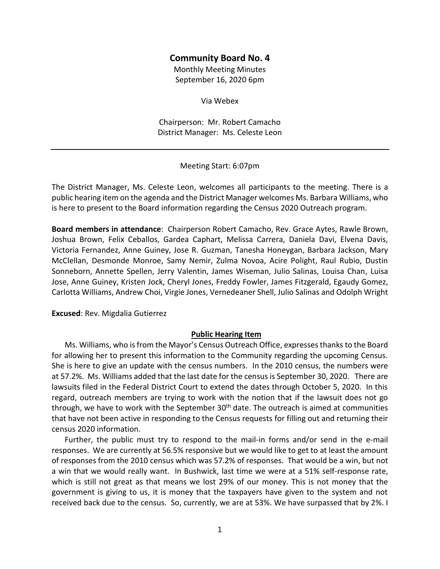#### **Community Board No. 4**

Monthly Meeting Minutes September 16, 2020 6pm

Via Webex

Chairperson: Mr. Robert Camacho District Manager: Ms. Celeste Leon

Meeting Start: 6:07pm

The District Manager, Ms. Celeste Leon, welcomes all participants to the meeting. There is a public hearing item on the agenda and the District Manager welcomes Ms. Barbara Williams, who is here to present to the Board information regarding the Census 2020 Outreach program.

**Board members in attendance**: Chairperson Robert Camacho, Rev. Grace Aytes, Rawle Brown, Joshua Brown, Felix Ceballos, Gardea Caphart, Melissa Carrera, Daniela Davi, Elvena Davis, Victoria Fernandez, Anne Guiney, Jose R. Guzman, Tanesha Honeygan, Barbara Jackson, Mary McClellan, Desmonde Monroe, Samy Nemir, Zulma Novoa, Acire Polight, Raul Rubio, Dustin Sonneborn, Annette Spellen, Jerry Valentin, James Wiseman, Julio Salinas, Louisa Chan, Luisa Jose, Anne Guiney, Kristen Jock, Cheryl Jones, Freddy Fowler, James Fitzgerald, Egaudy Gomez, Carlotta Williams, Andrew Choi, Virgie Jones, Vernedeaner Shell, Julio Salinas and Odolph Wright

**Excused**: Rev. Migdalia Gutierrez

#### **Public Hearing Item**

Ms. Williams, who is from the Mayor's Census Outreach Office, expresses thanks to the Board for allowing her to present this information to the Community regarding the upcoming Census. She is here to give an update with the census numbers. In the 2010 census, the numbers were at 57.2%. Ms. Williams added that the last date for the census is September 30, 2020. There are lawsuits filed in the Federal District Court to extend the dates through October 5, 2020. In this regard, outreach members are trying to work with the notion that if the lawsuit does not go through, we have to work with the September  $30<sup>th</sup>$  date. The outreach is aimed at communities that have not been active in responding to the Census requests for filling out and returning their census 2020 information.

Further, the public must try to respond to the mail-in forms and/or send in the e-mail responses. We are currently at 56.5% responsive but we would like to get to at least the amount of responses from the 2010 census which was 57.2% of responses. That would be a win, but not a win that we would really want. In Bushwick, last time we were at a 51% self-response rate, which is still not great as that means we lost 29% of our money. This is not money that the government is giving to us, it is money that the taxpayers have given to the system and not received back due to the census. So, currently, we are at 53%. We have surpassed that by 2%. I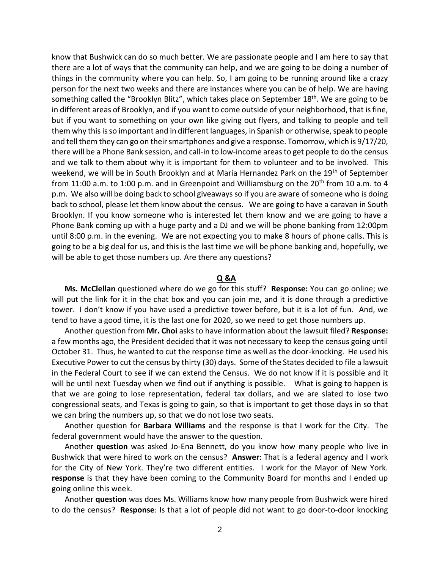know that Bushwick can do so much better. We are passionate people and I am here to say that there are a lot of ways that the community can help, and we are going to be doing a number of things in the community where you can help. So, I am going to be running around like a crazy person for the next two weeks and there are instances where you can be of help. We are having something called the "Brooklyn Blitz", which takes place on September 18<sup>th</sup>. We are going to be in different areas of Brooklyn, and if you want to come outside of your neighborhood, that is fine, but if you want to something on your own like giving out flyers, and talking to people and tell them why this is so important and in different languages, in Spanish or otherwise, speak to people and tell them they can go on their smartphones and give a response. Tomorrow, which is 9/17/20, there will be a Phone Bank session, and call-in to low-income areas to get people to do the census and we talk to them about why it is important for them to volunteer and to be involved. This weekend, we will be in South Brooklyn and at Maria Hernandez Park on the 19<sup>th</sup> of September from 11:00 a.m. to 1:00 p.m. and in Greenpoint and Williamsburg on the  $20<sup>th</sup>$  from 10 a.m. to 4 p.m. We also will be doing back to school giveaways so if you are aware of someone who is doing back to school, please let them know about the census. We are going to have a caravan in South Brooklyn. If you know someone who is interested let them know and we are going to have a Phone Bank coming up with a huge party and a DJ and we will be phone banking from 12:00pm until 8:00 p.m. in the evening. We are not expecting you to make 8 hours of phone calls. This is going to be a big deal for us, and this is the last time we will be phone banking and, hopefully, we will be able to get those numbers up. Are there any questions?

#### **Q &A**

**Ms. McClellan** questioned where do we go for this stuff? **Response:** You can go online; we will put the link for it in the chat box and you can join me, and it is done through a predictive tower. I don't know if you have used a predictive tower before, but it is a lot of fun. And, we tend to have a good time, it is the last one for 2020, so we need to get those numbers up.

Another question from **Mr. Choi** asks to have information about the lawsuit filed? **Response:** a few months ago, the President decided that it was not necessary to keep the census going until October 31. Thus, he wanted to cut the response time as well as the door-knocking. He used his Executive Power to cut the census by thirty (30) days. Some of the States decided to file a lawsuit in the Federal Court to see if we can extend the Census. We do not know if it is possible and it will be until next Tuesday when we find out if anything is possible. What is going to happen is that we are going to lose representation, federal tax dollars, and we are slated to lose two congressional seats, and Texas is going to gain, so that is important to get those days in so that we can bring the numbers up, so that we do not lose two seats.

Another question for **Barbara Williams** and the response is that I work for the City. The federal government would have the answer to the question.

Another **question** was asked Jo-Ena Bennett, do you know how many people who live in Bushwick that were hired to work on the census? **Answer**: That is a federal agency and I work for the City of New York. They're two different entities. I work for the Mayor of New York. **response** is that they have been coming to the Community Board for months and I ended up going online this week.

Another **question** was does Ms. Williams know how many people from Bushwick were hired to do the census? **Response**: Is that a lot of people did not want to go door-to-door knocking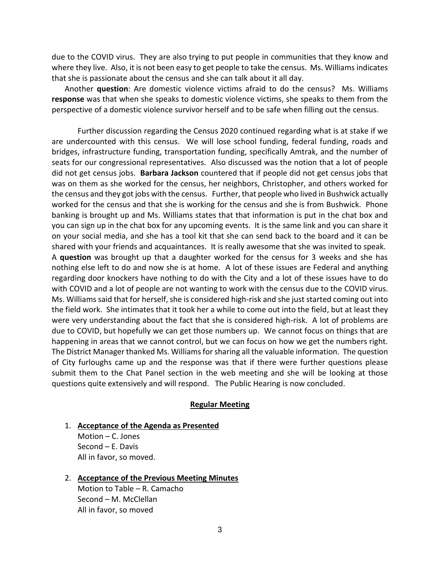due to the COVID virus. They are also trying to put people in communities that they know and where they live. Also, it is not been easy to get people to take the census. Ms. Williams indicates that she is passionate about the census and she can talk about it all day.

Another **question**: Are domestic violence victims afraid to do the census? Ms. Williams **response** was that when she speaks to domestic violence victims, she speaks to them from the perspective of a domestic violence survivor herself and to be safe when filling out the census.

Further discussion regarding the Census 2020 continued regarding what is at stake if we are undercounted with this census. We will lose school funding, federal funding, roads and bridges, infrastructure funding, transportation funding, specifically Amtrak, and the number of seats for our congressional representatives. Also discussed was the notion that a lot of people did not get census jobs. **Barbara Jackson** countered that if people did not get census jobs that was on them as she worked for the census, her neighbors, Christopher, and others worked for the census and they got jobs with the census. Further, that people who lived in Bushwick actually worked for the census and that she is working for the census and she is from Bushwick. Phone banking is brought up and Ms. Williams states that that information is put in the chat box and you can sign up in the chat box for any upcoming events. It is the same link and you can share it on your social media, and she has a tool kit that she can send back to the board and it can be shared with your friends and acquaintances. It is really awesome that she was invited to speak. A **question** was brought up that a daughter worked for the census for 3 weeks and she has nothing else left to do and now she is at home. A lot of these issues are Federal and anything regarding door knockers have nothing to do with the City and a lot of these issues have to do with COVID and a lot of people are not wanting to work with the census due to the COVID virus. Ms. Williams said that for herself, she is considered high-risk and she just started coming out into the field work. She intimates that it took her a while to come out into the field, but at least they were very understanding about the fact that she is considered high-risk. A lot of problems are due to COVID, but hopefully we can get those numbers up. We cannot focus on things that are happening in areas that we cannot control, but we can focus on how we get the numbers right. The District Manager thanked Ms. Williams for sharing all the valuable information. The question of City furloughs came up and the response was that if there were further questions please submit them to the Chat Panel section in the web meeting and she will be looking at those questions quite extensively and will respond. The Public Hearing is now concluded.

#### **Regular Meeting**

#### 1. **Acceptance of the Agenda as Presented**

Motion – C. Jones Second – E. Davis All in favor, so moved.

#### 2. **Acceptance of the Previous Meeting Minutes**

Motion to Table – R. Camacho Second – M. McClellan All in favor, so moved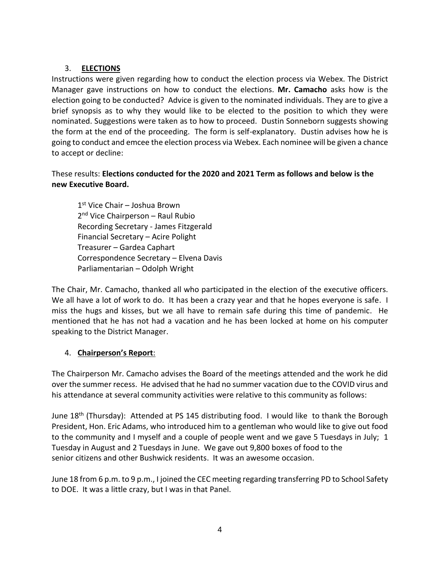## 3. **ELECTIONS**

Instructions were given regarding how to conduct the election process via Webex. The District Manager gave instructions on how to conduct the elections. **Mr. Camacho** asks how is the election going to be conducted? Advice is given to the nominated individuals. They are to give a brief synopsis as to why they would like to be elected to the position to which they were nominated. Suggestions were taken as to how to proceed. Dustin Sonneborn suggests showing the form at the end of the proceeding. The form is self-explanatory. Dustin advises how he is going to conduct and emcee the election process via Webex. Each nominee will be given a chance to accept or decline:

## These results: **Elections conducted for the 2020 and 2021 Term as follows and below is the new Executive Board.**

1 st Vice Chair – Joshua Brown 2<sup>nd</sup> Vice Chairperson – Raul Rubio Recording Secretary - James Fitzgerald Financial Secretary – Acire Polight Treasurer – Gardea Caphart Correspondence Secretary – Elvena Davis Parliamentarian – Odolph Wright

The Chair, Mr. Camacho, thanked all who participated in the election of the executive officers. We all have a lot of work to do. It has been a crazy year and that he hopes everyone is safe. I miss the hugs and kisses, but we all have to remain safe during this time of pandemic. He mentioned that he has not had a vacation and he has been locked at home on his computer speaking to the District Manager.

## 4. **Chairperson's Report**:

The Chairperson Mr. Camacho advises the Board of the meetings attended and the work he did over the summer recess. He advised that he had no summer vacation due to the COVID virus and his attendance at several community activities were relative to this community as follows:

June  $18<sup>th</sup>$  (Thursday): Attended at PS 145 distributing food. I would like to thank the Borough President, Hon. Eric Adams, who introduced him to a gentleman who would like to give out food to the community and I myself and a couple of people went and we gave 5 Tuesdays in July; 1 Tuesday in August and 2 Tuesdays in June. We gave out 9,800 boxes of food to the senior citizens and other Bushwick residents. It was an awesome occasion.

June 18 from 6 p.m. to 9 p.m., I joined the CEC meeting regarding transferring PD to School Safety to DOE. It was a little crazy, but I was in that Panel.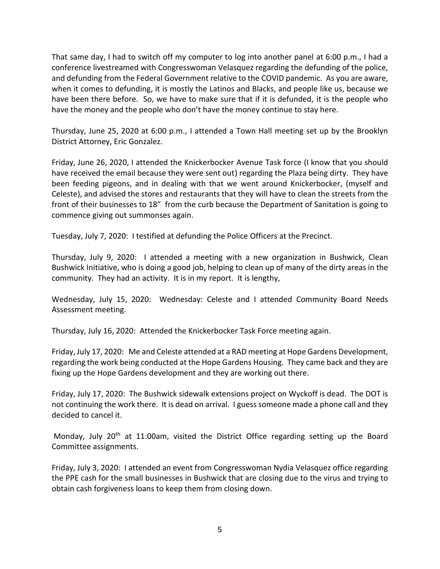That same day, I had to switch off my computer to log into another panel at 6:00 p.m., I had a conference livestreamed with Congresswoman Velasquez regarding the defunding of the police, and defunding from the Federal Government relative to the COVID pandemic. As you are aware, when it comes to defunding, it is mostly the Latinos and Blacks, and people like us, because we have been there before. So, we have to make sure that if it is defunded, it is the people who have the money and the people who don't have the money continue to stay here.

Thursday, June 25, 2020 at 6:00 p.m., I attended a Town Hall meeting set up by the Brooklyn District Attorney, Eric Gonzalez.

Friday, June 26, 2020, I attended the Knickerbocker Avenue Task force (I know that you should have received the email because they were sent out) regarding the Plaza being dirty. They have been feeding pigeons, and in dealing with that we went around Knickerbocker, (myself and Celeste), and advised the stores and restaurants that they will have to clean the streets from the front of their businesses to 18" from the curb because the Department of Sanitation is going to commence giving out summonses again.

Tuesday, July 7, 2020: I testified at defunding the Police Officers at the Precinct.

Thursday, July 9, 2020: I attended a meeting with a new organization in Bushwick, Clean Bushwick Initiative, who is doing a good job, helping to clean up of many of the dirty areas in the community. They had an activity. It is in my report. It is lengthy,

Wednesday, July 15, 2020: Wednesday: Celeste and I attended Community Board Needs Assessment meeting.

Thursday, July 16, 2020: Attended the Knickerbocker Task Force meeting again.

Friday, July 17, 2020: Me and Celeste attended at a RAD meeting at Hope Gardens Development, regarding the work being conducted at the Hope Gardens Housing. They came back and they are fixing up the Hope Gardens development and they are working out there.

Friday, July 17, 2020: The Bushwick sidewalk extensions project on Wyckoff is dead. The DOT is not continuing the work there. It is dead on arrival. I guess someone made a phone call and they decided to cancel it.

Monday, July 20<sup>th</sup> at 11:00am, visited the District Office regarding setting up the Board Committee assignments.

Friday, July 3, 2020: I attended an event from Congresswoman Nydia Velasquez office regarding the PPE cash for the small businesses in Bushwick that are closing due to the virus and trying to obtain cash forgiveness loans to keep them from closing down.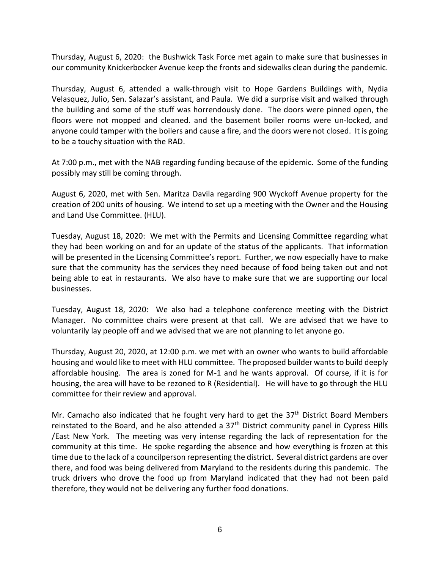Thursday, August 6, 2020: the Bushwick Task Force met again to make sure that businesses in our community Knickerbocker Avenue keep the fronts and sidewalks clean during the pandemic.

Thursday, August 6, attended a walk-through visit to Hope Gardens Buildings with, Nydia Velasquez, Julio, Sen. Salazar's assistant, and Paula. We did a surprise visit and walked through the building and some of the stuff was horrendously done. The doors were pinned open, the floors were not mopped and cleaned. and the basement boiler rooms were un-locked, and anyone could tamper with the boilers and cause a fire, and the doors were not closed. It is going to be a touchy situation with the RAD.

At 7:00 p.m., met with the NAB regarding funding because of the epidemic. Some of the funding possibly may still be coming through.

August 6, 2020, met with Sen. Maritza Davila regarding 900 Wyckoff Avenue property for the creation of 200 units of housing. We intend to set up a meeting with the Owner and the Housing and Land Use Committee. (HLU).

Tuesday, August 18, 2020: We met with the Permits and Licensing Committee regarding what they had been working on and for an update of the status of the applicants. That information will be presented in the Licensing Committee's report. Further, we now especially have to make sure that the community has the services they need because of food being taken out and not being able to eat in restaurants. We also have to make sure that we are supporting our local businesses.

Tuesday, August 18, 2020: We also had a telephone conference meeting with the District Manager. No committee chairs were present at that call. We are advised that we have to voluntarily lay people off and we advised that we are not planning to let anyone go.

Thursday, August 20, 2020, at 12:00 p.m. we met with an owner who wants to build affordable housing and would like to meet with HLU committee. The proposed builder wants to build deeply affordable housing. The area is zoned for M-1 and he wants approval. Of course, if it is for housing, the area will have to be rezoned to R (Residential). He will have to go through the HLU committee for their review and approval.

Mr. Camacho also indicated that he fought very hard to get the  $37<sup>th</sup>$  District Board Members reinstated to the Board, and he also attended a  $37<sup>th</sup>$  District community panel in Cypress Hills /East New York. The meeting was very intense regarding the lack of representation for the community at this time. He spoke regarding the absence and how everything is frozen at this time due to the lack of a councilperson representing the district. Several district gardens are over there, and food was being delivered from Maryland to the residents during this pandemic. The truck drivers who drove the food up from Maryland indicated that they had not been paid therefore, they would not be delivering any further food donations.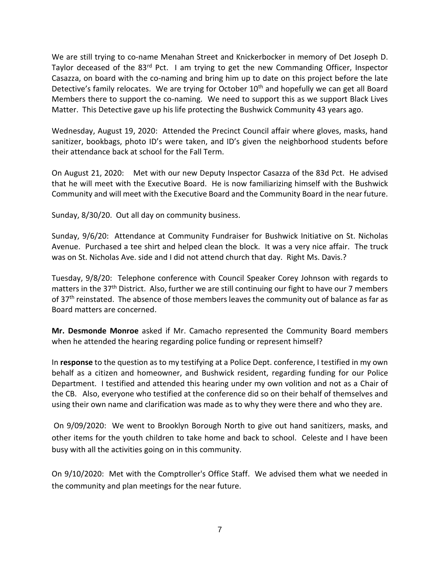We are still trying to co-name Menahan Street and Knickerbocker in memory of Det Joseph D. Taylor deceased of the 83<sup>rd</sup> Pct. I am trying to get the new Commanding Officer, Inspector Casazza, on board with the co-naming and bring him up to date on this project before the late Detective's family relocates. We are trying for October 10<sup>th</sup> and hopefully we can get all Board Members there to support the co-naming. We need to support this as we support Black Lives Matter. This Detective gave up his life protecting the Bushwick Community 43 years ago.

Wednesday, August 19, 2020: Attended the Precinct Council affair where gloves, masks, hand sanitizer, bookbags, photo ID's were taken, and ID's given the neighborhood students before their attendance back at school for the Fall Term.

On August 21, 2020: Met with our new Deputy Inspector Casazza of the 83d Pct. He advised that he will meet with the Executive Board. He is now familiarizing himself with the Bushwick Community and will meet with the Executive Board and the Community Board in the near future.

Sunday, 8/30/20. Out all day on community business.

Sunday, 9/6/20: Attendance at Community Fundraiser for Bushwick Initiative on St. Nicholas Avenue. Purchased a tee shirt and helped clean the block. It was a very nice affair. The truck was on St. Nicholas Ave. side and I did not attend church that day. Right Ms. Davis.?

Tuesday, 9/8/20: Telephone conference with Council Speaker Corey Johnson with regards to matters in the 37<sup>th</sup> District. Also, further we are still continuing our fight to have our 7 members of 37<sup>th</sup> reinstated. The absence of those members leaves the community out of balance as far as Board matters are concerned.

**Mr. Desmonde Monroe** asked if Mr. Camacho represented the Community Board members when he attended the hearing regarding police funding or represent himself?

In **response** to the question as to my testifying at a Police Dept. conference, I testified in my own behalf as a citizen and homeowner, and Bushwick resident, regarding funding for our Police Department. I testified and attended this hearing under my own volition and not as a Chair of the CB. Also, everyone who testified at the conference did so on their behalf of themselves and using their own name and clarification was made as to why they were there and who they are.

On 9/09/2020: We went to Brooklyn Borough North to give out hand sanitizers, masks, and other items for the youth children to take home and back to school. Celeste and I have been busy with all the activities going on in this community.

On 9/10/2020: Met with the Comptroller's Office Staff. We advised them what we needed in the community and plan meetings for the near future.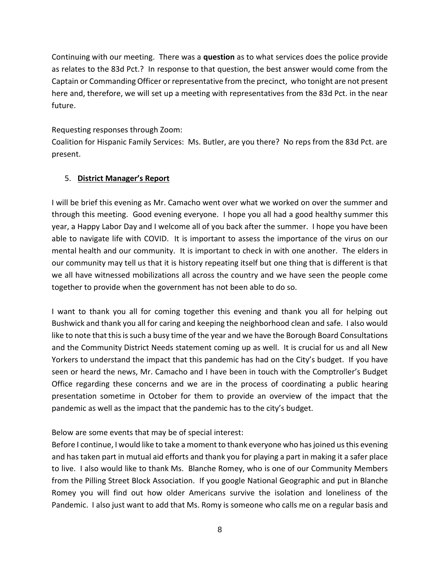Continuing with our meeting. There was a **question** as to what services does the police provide as relates to the 83d Pct.? In response to that question, the best answer would come from the Captain or Commanding Officer or representative from the precinct, who tonight are not present here and, therefore, we will set up a meeting with representatives from the 83d Pct. in the near future.

## Requesting responses through Zoom:

Coalition for Hispanic Family Services: Ms. Butler, are you there? No reps from the 83d Pct. are present.

## 5. **District Manager's Report**

I will be brief this evening as Mr. Camacho went over what we worked on over the summer and through this meeting. Good evening everyone. I hope you all had a good healthy summer this year, a Happy Labor Day and I welcome all of you back after the summer. I hope you have been able to navigate life with COVID. It is important to assess the importance of the virus on our mental health and our community. It is important to check in with one another. The elders in our community may tell us that it is history repeating itself but one thing that is different is that we all have witnessed mobilizations all across the country and we have seen the people come together to provide when the government has not been able to do so.

I want to thank you all for coming together this evening and thank you all for helping out Bushwick and thank you all for caring and keeping the neighborhood clean and safe. I also would like to note that this is such a busy time of the year and we have the Borough Board Consultations and the Community District Needs statement coming up as well. It is crucial for us and all New Yorkers to understand the impact that this pandemic has had on the City's budget. If you have seen or heard the news, Mr. Camacho and I have been in touch with the Comptroller's Budget Office regarding these concerns and we are in the process of coordinating a public hearing presentation sometime in October for them to provide an overview of the impact that the pandemic as well as the impact that the pandemic has to the city's budget.

## Below are some events that may be of special interest:

Before I continue, I would like to take a moment to thank everyone who has joined us this evening and has taken part in mutual aid efforts and thank you for playing a part in making it a safer place to live. I also would like to thank Ms. Blanche Romey, who is one of our Community Members from the Pilling Street Block Association. If you google National Geographic and put in Blanche Romey you will find out how older Americans survive the isolation and loneliness of the Pandemic. I also just want to add that Ms. Romy is someone who calls me on a regular basis and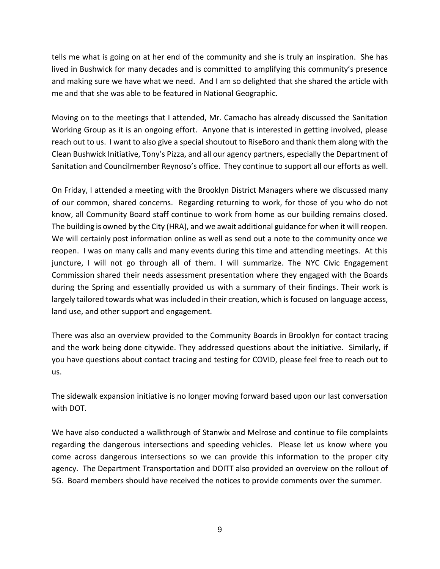tells me what is going on at her end of the community and she is truly an inspiration. She has lived in Bushwick for many decades and is committed to amplifying this community's presence and making sure we have what we need. And I am so delighted that she shared the article with me and that she was able to be featured in National Geographic.

Moving on to the meetings that I attended, Mr. Camacho has already discussed the Sanitation Working Group as it is an ongoing effort. Anyone that is interested in getting involved, please reach out to us. I want to also give a special shoutout to RiseBoro and thank them along with the Clean Bushwick Initiative, Tony's Pizza, and all our agency partners, especially the Department of Sanitation and Councilmember Reynoso's office. They continue to support all our efforts as well.

On Friday, I attended a meeting with the Brooklyn District Managers where we discussed many of our common, shared concerns. Regarding returning to work, for those of you who do not know, all Community Board staff continue to work from home as our building remains closed. The building is owned by the City (HRA), and we await additional guidance for when it will reopen. We will certainly post information online as well as send out a note to the community once we reopen. I was on many calls and many events during this time and attending meetings. At this juncture, I will not go through all of them. I will summarize. The NYC Civic Engagement Commission shared their needs assessment presentation where they engaged with the Boards during the Spring and essentially provided us with a summary of their findings. Their work is largely tailored towards what was included in their creation, which is focused on language access, land use, and other support and engagement.

There was also an overview provided to the Community Boards in Brooklyn for contact tracing and the work being done citywide. They addressed questions about the initiative. Similarly, if you have questions about contact tracing and testing for COVID, please feel free to reach out to us.

The sidewalk expansion initiative is no longer moving forward based upon our last conversation with DOT.

We have also conducted a walkthrough of Stanwix and Melrose and continue to file complaints regarding the dangerous intersections and speeding vehicles. Please let us know where you come across dangerous intersections so we can provide this information to the proper city agency. The Department Transportation and DOITT also provided an overview on the rollout of 5G. Board members should have received the notices to provide comments over the summer.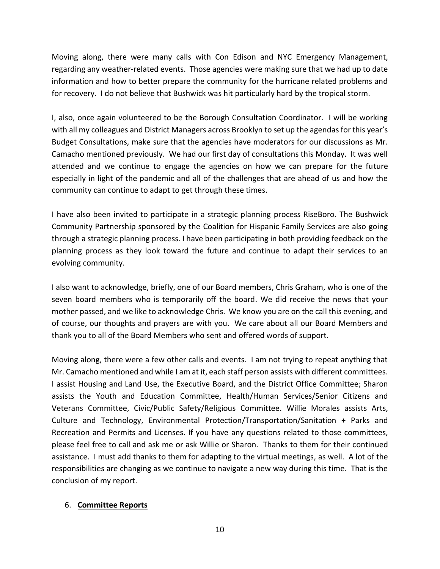Moving along, there were many calls with Con Edison and NYC Emergency Management, regarding any weather-related events. Those agencies were making sure that we had up to date information and how to better prepare the community for the hurricane related problems and for recovery. I do not believe that Bushwick was hit particularly hard by the tropical storm.

I, also, once again volunteered to be the Borough Consultation Coordinator. I will be working with all my colleagues and District Managers across Brooklyn to set up the agendas for this year's Budget Consultations, make sure that the agencies have moderators for our discussions as Mr. Camacho mentioned previously. We had our first day of consultations this Monday. It was well attended and we continue to engage the agencies on how we can prepare for the future especially in light of the pandemic and all of the challenges that are ahead of us and how the community can continue to adapt to get through these times.

I have also been invited to participate in a strategic planning process RiseBoro. The Bushwick Community Partnership sponsored by the Coalition for Hispanic Family Services are also going through a strategic planning process. I have been participating in both providing feedback on the planning process as they look toward the future and continue to adapt their services to an evolving community.

I also want to acknowledge, briefly, one of our Board members, Chris Graham, who is one of the seven board members who is temporarily off the board. We did receive the news that your mother passed, and we like to acknowledge Chris. We know you are on the call this evening, and of course, our thoughts and prayers are with you. We care about all our Board Members and thank you to all of the Board Members who sent and offered words of support.

Moving along, there were a few other calls and events. I am not trying to repeat anything that Mr. Camacho mentioned and while I am at it, each staff person assists with different committees. I assist Housing and Land Use, the Executive Board, and the District Office Committee; Sharon assists the Youth and Education Committee, Health/Human Services/Senior Citizens and Veterans Committee, Civic/Public Safety/Religious Committee. Willie Morales assists Arts, Culture and Technology, Environmental Protection/Transportation/Sanitation + Parks and Recreation and Permits and Licenses. If you have any questions related to those committees, please feel free to call and ask me or ask Willie or Sharon. Thanks to them for their continued assistance. I must add thanks to them for adapting to the virtual meetings, as well. A lot of the responsibilities are changing as we continue to navigate a new way during this time. That is the conclusion of my report.

#### 6. **Committee Reports**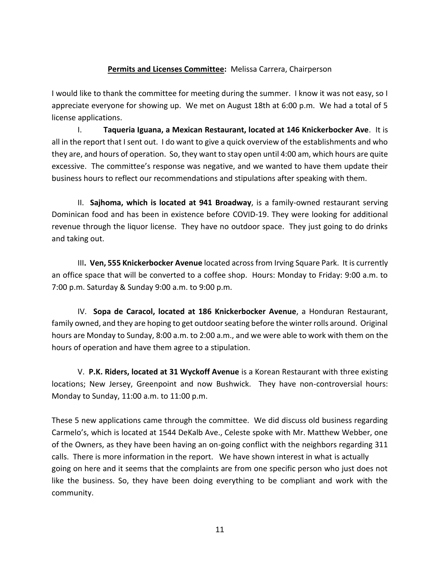## **Permits and Licenses Committee:** Melissa Carrera, Chairperson

I would like to thank the committee for meeting during the summer. I know it was not easy, so I appreciate everyone for showing up. We met on August 18th at 6:00 p.m. We had a total of 5 license applications.

I. **Taqueria Iguana, a Mexican Restaurant, located at 146 Knickerbocker Ave**. It is all in the report that I sent out. I do want to give a quick overview of the establishments and who they are, and hours of operation. So, they want to stay open until 4:00 am, which hours are quite excessive. The committee's response was negative, and we wanted to have them update their business hours to reflect our recommendations and stipulations after speaking with them.

II. **Sajhoma, which is located at 941 Broadway**, is a family-owned restaurant serving Dominican food and has been in existence before COVID-19. They were looking for additional revenue through the liquor license. They have no outdoor space. They just going to do drinks and taking out.

III**. Ven, 555 Knickerbocker Avenue** located across from Irving Square Park. It is currently an office space that will be converted to a coffee shop. Hours: Monday to Friday: 9:00 a.m. to 7:00 p.m. Saturday & Sunday 9:00 a.m. to 9:00 p.m.

IV. **Sopa de Caracol, located at 186 Knickerbocker Avenue**, a Honduran Restaurant, family owned, and they are hoping to get outdoor seating before the winter rolls around. Original hours are Monday to Sunday, 8:00 a.m. to 2:00 a.m., and we were able to work with them on the hours of operation and have them agree to a stipulation.

V. **P.K. Riders, located at 31 Wyckoff Avenue** is a Korean Restaurant with three existing locations; New Jersey, Greenpoint and now Bushwick. They have non-controversial hours: Monday to Sunday, 11:00 a.m. to 11:00 p.m.

These 5 new applications came through the committee. We did discuss old business regarding Carmelo's, which is located at 1544 DeKalb Ave., Celeste spoke with Mr. Matthew Webber, one of the Owners, as they have been having an on-going conflict with the neighbors regarding 311 calls. There is more information in the report. We have shown interest in what is actually going on here and it seems that the complaints are from one specific person who just does not like the business. So, they have been doing everything to be compliant and work with the community.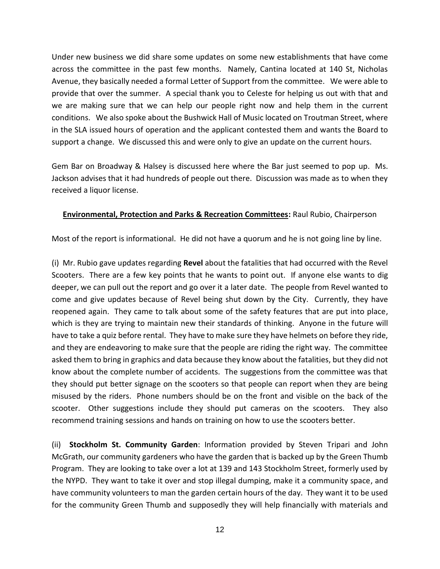Under new business we did share some updates on some new establishments that have come across the committee in the past few months. Namely, Cantina located at 140 St, Nicholas Avenue, they basically needed a formal Letter of Support from the committee. We were able to provide that over the summer. A special thank you to Celeste for helping us out with that and we are making sure that we can help our people right now and help them in the current conditions. We also spoke about the Bushwick Hall of Music located on Troutman Street, where in the SLA issued hours of operation and the applicant contested them and wants the Board to support a change. We discussed this and were only to give an update on the current hours.

Gem Bar on Broadway & Halsey is discussed here where the Bar just seemed to pop up. Ms. Jackson advises that it had hundreds of people out there. Discussion was made as to when they received a liquor license.

## **Environmental, Protection and Parks & Recreation Committees:** Raul Rubio, Chairperson

Most of the report is informational. He did not have a quorum and he is not going line by line.

(i) Mr. Rubio gave updates regarding **Revel** about the fatalities that had occurred with the Revel Scooters. There are a few key points that he wants to point out. If anyone else wants to dig deeper, we can pull out the report and go over it a later date. The people from Revel wanted to come and give updates because of Revel being shut down by the City. Currently, they have reopened again. They came to talk about some of the safety features that are put into place, which is they are trying to maintain new their standards of thinking. Anyone in the future will have to take a quiz before rental. They have to make sure they have helmets on before they ride, and they are endeavoring to make sure that the people are riding the right way. The committee asked them to bring in graphics and data because they know about the fatalities, but they did not know about the complete number of accidents. The suggestions from the committee was that they should put better signage on the scooters so that people can report when they are being misused by the riders. Phone numbers should be on the front and visible on the back of the scooter. Other suggestions include they should put cameras on the scooters. They also recommend training sessions and hands on training on how to use the scooters better.

(ii) **Stockholm St. Community Garden**: Information provided by Steven Tripari and John McGrath, our community gardeners who have the garden that is backed up by the Green Thumb Program. They are looking to take over a lot at 139 and 143 Stockholm Street, formerly used by the NYPD. They want to take it over and stop illegal dumping, make it a community space, and have community volunteers to man the garden certain hours of the day. They want it to be used for the community Green Thumb and supposedly they will help financially with materials and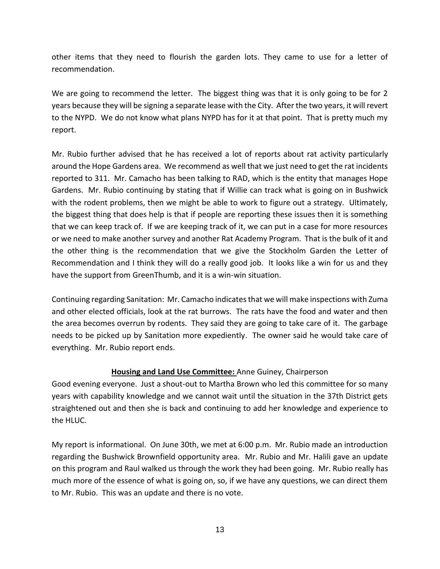other items that they need to flourish the garden lots. They came to use for a letter of recommendation.

We are going to recommend the letter. The biggest thing was that it is only going to be for 2 years because they will be signing a separate lease with the City. After the two years, it will revert to the NYPD. We do not know what plans NYPD has for it at that point. That is pretty much my report.

Mr. Rubio further advised that he has received a lot of reports about rat activity particularly around the Hope Gardens area. We recommend as well that we just need to get the rat incidents reported to 311. Mr. Camacho has been talking to RAD, which is the entity that manages Hope Gardens. Mr. Rubio continuing by stating that if Willie can track what is going on in Bushwick with the rodent problems, then we might be able to work to figure out a strategy. Ultimately, the biggest thing that does help is that if people are reporting these issues then it is something that we can keep track of. If we are keeping track of it, we can put in a case for more resources or we need to make another survey and another Rat Academy Program. That is the bulk of it and the other thing is the recommendation that we give the Stockholm Garden the Letter of Recommendation and I think they will do a really good job. It looks like a win for us and they have the support from GreenThumb, and it is a win-win situation.

Continuing regarding Sanitation: Mr. Camacho indicates that we will make inspections with Zuma and other elected officials, look at the rat burrows. The rats have the food and water and then the area becomes overrun by rodents. They said they are going to take care of it. The garbage needs to be picked up by Sanitation more expediently. The owner said he would take care of everything. Mr. Rubio report ends.

## **Housing and Land Use Committee:** Anne Guiney, Chairperson

Good evening everyone. Just a shout-out to Martha Brown who led this committee for so many years with capability knowledge and we cannot wait until the situation in the 37th District gets straightened out and then she is back and continuing to add her knowledge and experience to the HLUC.

My report is informational. On June 30th, we met at 6:00 p.m. Mr. Rubio made an introduction regarding the Bushwick Brownfield opportunity area. Mr. Rubio and Mr. Halili gave an update on this program and Raul walked us through the work they had been going. Mr. Rubio really has much more of the essence of what is going on, so, if we have any questions, we can direct them to Mr. Rubio. This was an update and there is no vote.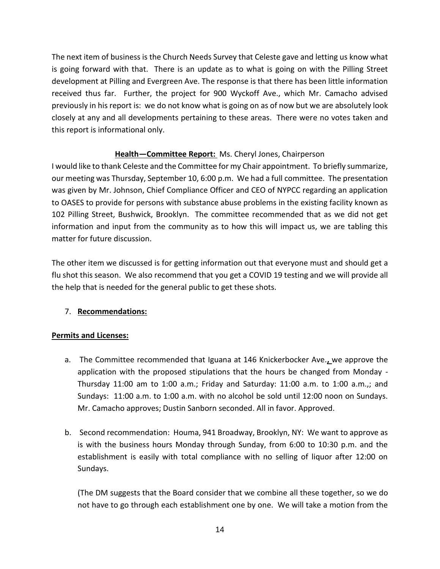The next item of business is the Church Needs Survey that Celeste gave and letting us know what is going forward with that. There is an update as to what is going on with the Pilling Street development at Pilling and Evergreen Ave. The response is that there has been little information received thus far. Further, the project for 900 Wyckoff Ave., which Mr. Camacho advised previously in his report is: we do not know what is going on as of now but we are absolutely look closely at any and all developments pertaining to these areas. There were no votes taken and this report is informational only.

# **Health—Committee Report:** Ms. Cheryl Jones, Chairperson

I would like to thank Celeste and the Committee for my Chair appointment. To briefly summarize, our meeting was Thursday, September 10, 6:00 p.m. We had a full committee. The presentation was given by Mr. Johnson, Chief Compliance Officer and CEO of NYPCC regarding an application to OASES to provide for persons with substance abuse problems in the existing facility known as 102 Pilling Street, Bushwick, Brooklyn. The committee recommended that as we did not get information and input from the community as to how this will impact us, we are tabling this matter for future discussion.

The other item we discussed is for getting information out that everyone must and should get a flu shot this season. We also recommend that you get a COVID 19 testing and we will provide all the help that is needed for the general public to get these shots.

# 7. **Recommendations:**

## **Permits and Licenses:**

- a. The Committee recommended that Iguana at 146 Knickerbocker Ave.**,** we approve the application with the proposed stipulations that the hours be changed from Monday - Thursday 11:00 am to 1:00 a.m.; Friday and Saturday: 11:00 a.m. to 1:00 a.m.,; and Sundays: 11:00 a.m. to 1:00 a.m. with no alcohol be sold until 12:00 noon on Sundays. Mr. Camacho approves; Dustin Sanborn seconded. All in favor. Approved.
- b. Second recommendation: Houma, 941 Broadway, Brooklyn, NY: We want to approve as is with the business hours Monday through Sunday, from 6:00 to 10:30 p.m. and the establishment is easily with total compliance with no selling of liquor after 12:00 on Sundays.

(The DM suggests that the Board consider that we combine all these together, so we do not have to go through each establishment one by one. We will take a motion from the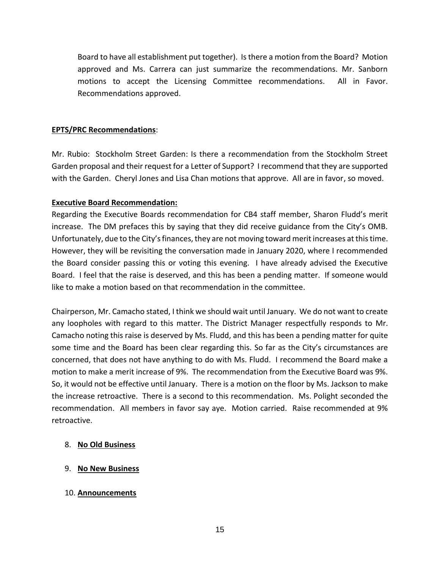Board to have all establishment put together). Is there a motion from the Board? Motion approved and Ms. Carrera can just summarize the recommendations. Mr. Sanborn motions to accept the Licensing Committee recommendations. All in Favor. Recommendations approved.

### **EPTS/PRC Recommendations**:

Mr. Rubio: Stockholm Street Garden: Is there a recommendation from the Stockholm Street Garden proposal and their request for a Letter of Support? I recommend that they are supported with the Garden. Cheryl Jones and Lisa Chan motions that approve. All are in favor, so moved.

## **Executive Board Recommendation:**

Regarding the Executive Boards recommendation for CB4 staff member, Sharon Fludd's merit increase. The DM prefaces this by saying that they did receive guidance from the City's OMB. Unfortunately, due to the City's finances, they are not moving toward merit increases at this time. However, they will be revisiting the conversation made in January 2020, where I recommended the Board consider passing this or voting this evening. I have already advised the Executive Board. I feel that the raise is deserved, and this has been a pending matter. If someone would like to make a motion based on that recommendation in the committee.

Chairperson, Mr. Camacho stated, I think we should wait until January. We do not want to create any loopholes with regard to this matter. The District Manager respectfully responds to Mr. Camacho noting this raise is deserved by Ms. Fludd, and this has been a pending matter for quite some time and the Board has been clear regarding this. So far as the City's circumstances are concerned, that does not have anything to do with Ms. Fludd. I recommend the Board make a motion to make a merit increase of 9%. The recommendation from the Executive Board was 9%. So, it would not be effective until January. There is a motion on the floor by Ms. Jackson to make the increase retroactive. There is a second to this recommendation. Ms. Polight seconded the recommendation. All members in favor say aye. Motion carried. Raise recommended at 9% retroactive.

## 8. **No Old Business**

## 9. **No New Business**

#### 10. **Announcements**